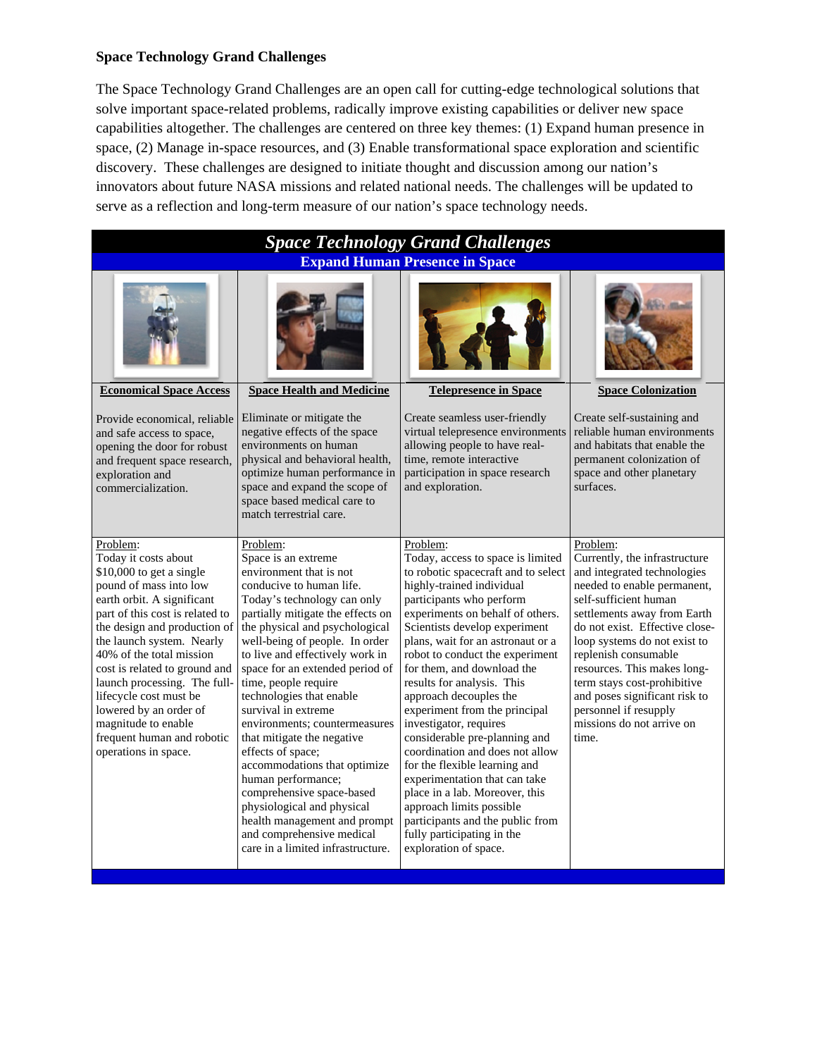## **Space Technology Grand Challenges**

The Space Technology Grand Challenges are an open call for cutting-edge technological solutions that solve important space-related problems, radically improve existing capabilities or deliver new space capabilities altogether. The challenges are centered on three key themes: (1) Expand human presence in space, (2) Manage in-space resources, and (3) Enable transformational space exploration and scientific discovery. These challenges are designed to initiate thought and discussion among our nation's innovators about future NASA missions and related national needs. The challenges will be updated to serve as a reflection and long-term measure of our nation's space technology needs.

| <b>Space Technology Grand Challenges</b>                                                                                                                                                                                                                                                                                                                                                                                                            |                                                                                                                                                                                                                                                                                                                                                                                                                                                                                                                                                                                                                                                                                        |                                                                                                                                                                                                                                                                                                                                                                                                                                                                                                                                                                                                                                                                                                                                            |                                                                                                                                                                                                                                                                                                                                                                                                                         |  |  |  |  |  |
|-----------------------------------------------------------------------------------------------------------------------------------------------------------------------------------------------------------------------------------------------------------------------------------------------------------------------------------------------------------------------------------------------------------------------------------------------------|----------------------------------------------------------------------------------------------------------------------------------------------------------------------------------------------------------------------------------------------------------------------------------------------------------------------------------------------------------------------------------------------------------------------------------------------------------------------------------------------------------------------------------------------------------------------------------------------------------------------------------------------------------------------------------------|--------------------------------------------------------------------------------------------------------------------------------------------------------------------------------------------------------------------------------------------------------------------------------------------------------------------------------------------------------------------------------------------------------------------------------------------------------------------------------------------------------------------------------------------------------------------------------------------------------------------------------------------------------------------------------------------------------------------------------------------|-------------------------------------------------------------------------------------------------------------------------------------------------------------------------------------------------------------------------------------------------------------------------------------------------------------------------------------------------------------------------------------------------------------------------|--|--|--|--|--|
| <b>Expand Human Presence in Space</b>                                                                                                                                                                                                                                                                                                                                                                                                               |                                                                                                                                                                                                                                                                                                                                                                                                                                                                                                                                                                                                                                                                                        |                                                                                                                                                                                                                                                                                                                                                                                                                                                                                                                                                                                                                                                                                                                                            |                                                                                                                                                                                                                                                                                                                                                                                                                         |  |  |  |  |  |
|                                                                                                                                                                                                                                                                                                                                                                                                                                                     |                                                                                                                                                                                                                                                                                                                                                                                                                                                                                                                                                                                                                                                                                        |                                                                                                                                                                                                                                                                                                                                                                                                                                                                                                                                                                                                                                                                                                                                            |                                                                                                                                                                                                                                                                                                                                                                                                                         |  |  |  |  |  |
| <b>Economical Space Access</b>                                                                                                                                                                                                                                                                                                                                                                                                                      | <b>Space Health and Medicine</b>                                                                                                                                                                                                                                                                                                                                                                                                                                                                                                                                                                                                                                                       | <b>Telepresence in Space</b>                                                                                                                                                                                                                                                                                                                                                                                                                                                                                                                                                                                                                                                                                                               | <b>Space Colonization</b>                                                                                                                                                                                                                                                                                                                                                                                               |  |  |  |  |  |
| Provide economical, reliable<br>and safe access to space,<br>opening the door for robust<br>and frequent space research,<br>exploration and<br>commercialization.                                                                                                                                                                                                                                                                                   | Eliminate or mitigate the<br>negative effects of the space<br>environments on human<br>physical and behavioral health,<br>optimize human performance in<br>space and expand the scope of<br>space based medical care to<br>match terrestrial care.                                                                                                                                                                                                                                                                                                                                                                                                                                     | Create seamless user-friendly<br>virtual telepresence environments<br>allowing people to have real-<br>time, remote interactive<br>participation in space research<br>and exploration.                                                                                                                                                                                                                                                                                                                                                                                                                                                                                                                                                     | Create self-sustaining and<br>reliable human environments<br>and habitats that enable the<br>permanent colonization of<br>space and other planetary<br>surfaces.                                                                                                                                                                                                                                                        |  |  |  |  |  |
| Problem:<br>Today it costs about<br>$$10,000$ to get a single<br>pound of mass into low<br>earth orbit. A significant<br>part of this cost is related to<br>the design and production of<br>the launch system. Nearly<br>40% of the total mission<br>cost is related to ground and<br>launch processing. The full-<br>lifecycle cost must be<br>lowered by an order of<br>magnitude to enable<br>frequent human and robotic<br>operations in space. | Problem:<br>Space is an extreme<br>environment that is not<br>conducive to human life.<br>Today's technology can only<br>partially mitigate the effects on<br>the physical and psychological<br>well-being of people. In order<br>to live and effectively work in<br>space for an extended period of<br>time, people require<br>technologies that enable<br>survival in extreme<br>environments; countermeasures<br>that mitigate the negative<br>effects of space;<br>accommodations that optimize<br>human performance;<br>comprehensive space-based<br>physiological and physical<br>health management and prompt<br>and comprehensive medical<br>care in a limited infrastructure. | Problem:<br>Today, access to space is limited<br>to robotic spacecraft and to select<br>highly-trained individual<br>participants who perform<br>experiments on behalf of others.<br>Scientists develop experiment<br>plans, wait for an astronaut or a<br>robot to conduct the experiment<br>for them, and download the<br>results for analysis. This<br>approach decouples the<br>experiment from the principal<br>investigator, requires<br>considerable pre-planning and<br>coordination and does not allow<br>for the flexible learning and<br>experimentation that can take<br>place in a lab. Moreover, this<br>approach limits possible<br>participants and the public from<br>fully participating in the<br>exploration of space. | Problem:<br>Currently, the infrastructure<br>and integrated technologies<br>needed to enable permanent,<br>self-sufficient human<br>settlements away from Earth<br>do not exist. Effective close-<br>loop systems do not exist to<br>replenish consumable<br>resources. This makes long-<br>term stays cost-prohibitive<br>and poses significant risk to<br>personnel if resupply<br>missions do not arrive on<br>time. |  |  |  |  |  |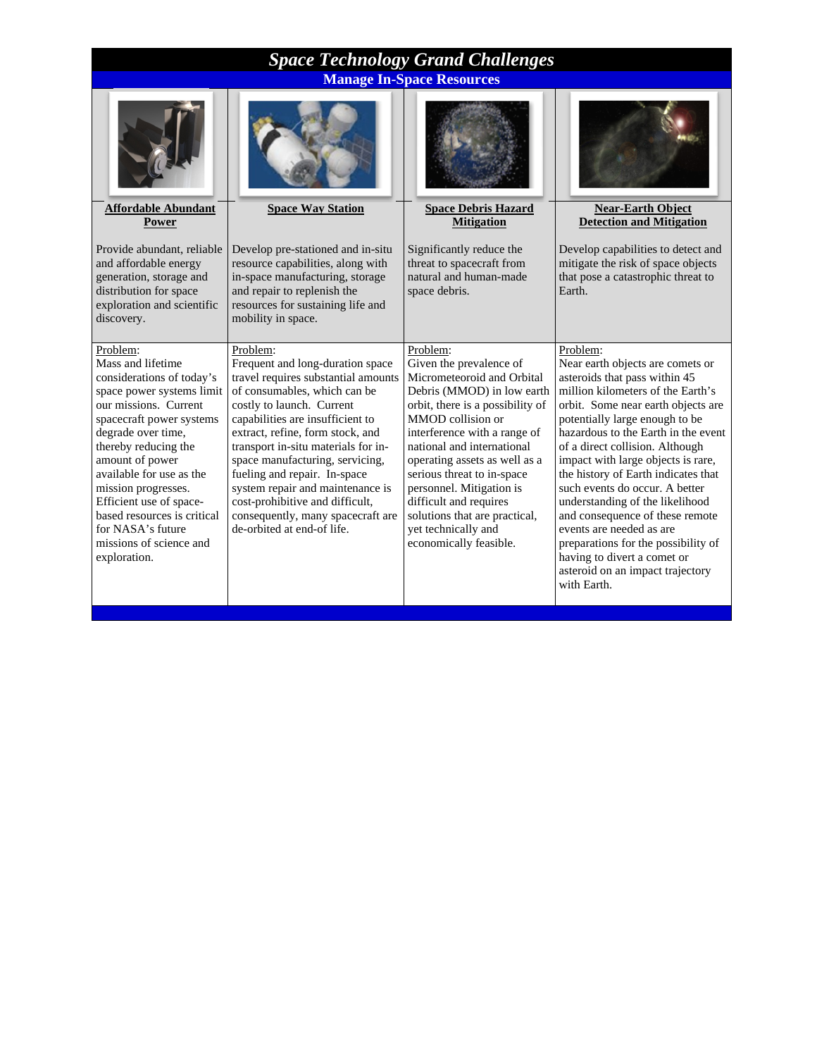| <b>Space Technology Grand Challenges</b>                                                                                                                                                                                                                                                                                                                                                   |                                                                                                                                                                                                                                                                                                                                                                                                                                                                              |                                                                                                                                                                                                                                                                                                                                                                                                                               |                                                                                                                                                                                                                                                                                                                                                                                                                                                                                                                                                                                                                |  |  |  |  |
|--------------------------------------------------------------------------------------------------------------------------------------------------------------------------------------------------------------------------------------------------------------------------------------------------------------------------------------------------------------------------------------------|------------------------------------------------------------------------------------------------------------------------------------------------------------------------------------------------------------------------------------------------------------------------------------------------------------------------------------------------------------------------------------------------------------------------------------------------------------------------------|-------------------------------------------------------------------------------------------------------------------------------------------------------------------------------------------------------------------------------------------------------------------------------------------------------------------------------------------------------------------------------------------------------------------------------|----------------------------------------------------------------------------------------------------------------------------------------------------------------------------------------------------------------------------------------------------------------------------------------------------------------------------------------------------------------------------------------------------------------------------------------------------------------------------------------------------------------------------------------------------------------------------------------------------------------|--|--|--|--|
| <b>Manage In-Space Resources</b>                                                                                                                                                                                                                                                                                                                                                           |                                                                                                                                                                                                                                                                                                                                                                                                                                                                              |                                                                                                                                                                                                                                                                                                                                                                                                                               |                                                                                                                                                                                                                                                                                                                                                                                                                                                                                                                                                                                                                |  |  |  |  |
| <b>Affordable Abundant</b>                                                                                                                                                                                                                                                                                                                                                                 | <b>Space Way Station</b>                                                                                                                                                                                                                                                                                                                                                                                                                                                     | <b>Space Debris Hazard</b>                                                                                                                                                                                                                                                                                                                                                                                                    | <b>Near-Earth Object</b>                                                                                                                                                                                                                                                                                                                                                                                                                                                                                                                                                                                       |  |  |  |  |
| Power                                                                                                                                                                                                                                                                                                                                                                                      |                                                                                                                                                                                                                                                                                                                                                                                                                                                                              | <b>Mitigation</b>                                                                                                                                                                                                                                                                                                                                                                                                             | <b>Detection and Mitigation</b>                                                                                                                                                                                                                                                                                                                                                                                                                                                                                                                                                                                |  |  |  |  |
| Provide abundant, reliable<br>and affordable energy<br>generation, storage and<br>distribution for space<br>exploration and scientific<br>discovery.                                                                                                                                                                                                                                       | Develop pre-stationed and in-situ<br>resource capabilities, along with<br>in-space manufacturing, storage<br>and repair to replenish the<br>resources for sustaining life and<br>mobility in space.                                                                                                                                                                                                                                                                          | Significantly reduce the<br>threat to spacecraft from<br>natural and human-made<br>space debris.                                                                                                                                                                                                                                                                                                                              | Develop capabilities to detect and<br>mitigate the risk of space objects<br>that pose a catastrophic threat to<br>Earth.                                                                                                                                                                                                                                                                                                                                                                                                                                                                                       |  |  |  |  |
| Problem:<br>Mass and lifetime<br>considerations of today's<br>space power systems limit<br>our missions. Current<br>spacecraft power systems<br>degrade over time,<br>thereby reducing the<br>amount of power<br>available for use as the<br>mission progresses.<br>Efficient use of space-<br>based resources is critical<br>for NASA's future<br>missions of science and<br>exploration. | Problem:<br>Frequent and long-duration space<br>travel requires substantial amounts<br>of consumables, which can be<br>costly to launch. Current<br>capabilities are insufficient to<br>extract, refine, form stock, and<br>transport in-situ materials for in-<br>space manufacturing, servicing,<br>fueling and repair. In-space<br>system repair and maintenance is<br>cost-prohibitive and difficult,<br>consequently, many spacecraft are<br>de-orbited at end-of life. | Problem:<br>Given the prevalence of<br>Micrometeoroid and Orbital<br>Debris (MMOD) in low earth<br>orbit, there is a possibility of<br>MMOD collision or<br>interference with a range of<br>national and international<br>operating assets as well as a<br>serious threat to in-space<br>personnel. Mitigation is<br>difficult and requires<br>solutions that are practical,<br>yet technically and<br>economically feasible. | Problem:<br>Near earth objects are comets or<br>asteroids that pass within 45<br>million kilometers of the Earth's<br>orbit. Some near earth objects are<br>potentially large enough to be<br>hazardous to the Earth in the event<br>of a direct collision. Although<br>impact with large objects is rare,<br>the history of Earth indicates that<br>such events do occur. A better<br>understanding of the likelihood<br>and consequence of these remote<br>events are needed as are<br>preparations for the possibility of<br>having to divert a comet or<br>asteroid on an impact trajectory<br>with Earth. |  |  |  |  |